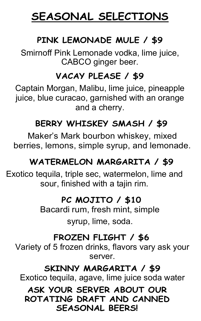# **SEASONAL SELECTIONS**

# **PINK LEMONADE MULE / \$9**

Smirnoff Pink Lemonade vodka, lime juice, CABCO ginger beer.

# **VACAY PLEASE / \$9**

Captain Morgan, Malibu, lime juice, pineapple juice, blue curacao, garnished with an orange and a cherry.

# **BERRY WHISKEY SMASH / \$9**

Maker's Mark bourbon whiskey, mixed berries, lemons, simple syrup, and lemonade.

# **WATERMELON MARGARITA / \$9**

Exotico tequila, triple sec, watermelon, lime and sour, finished with a tajin rim.

#### **PC MOJITO / \$10**

Bacardi rum, fresh mint, simple syrup, lime, soda.

# **FROZEN FLIGHT / \$6**

Variety of 5 frozen drinks, flavors vary ask your server.

#### **SKINNY MARGARITA / \$9**

Exotico tequila, agave, lime juice soda water

#### **ASK YOUR SERVER ABOUT OUR ROTATING DRAFT AND CANNED SEASONAL BEERS!**